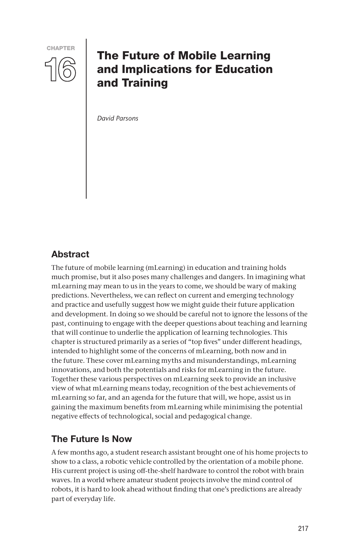

# The Future of Mobile Learning and Implications for Education and Training

*David Parsons*

# Abstract

The future of mobile learning (mLearning) in education and training holds much promise, but it also poses many challenges and dangers. In imagining what mLearning may mean to us in the years to come, we should be wary of making predictions. Nevertheless, we can reflect on current and emerging technology and practice and usefully suggest how we might guide their future application and development. In doing so we should be careful not to ignore the lessons of the past, continuing to engage with the deeper questions about teaching and learning that will continue to underlie the application of learning technologies. This chapter is structured primarily as a series of "top fives" under different headings, intended to highlight some of the concerns of mLearning, both now and in the future. These cover mLearning myths and misunderstandings, mLearning innovations, and both the potentials and risks for mLearning in the future. Together these various perspectives on mLearning seek to provide an inclusive view of what mLearning means today, recognition of the best achievements of mLearning so far, and an agenda for the future that will, we hope, assist us in gaining the maximum benefits from mLearning while minimising the potential negative effects of technological, social and pedagogical change.

# The Future Is Now

A few months ago, a student research assistant brought one of his home projects to show to a class, a robotic vehicle controlled by the orientation of a mobile phone. His current project is using off-the-shelf hardware to control the robot with brain waves. In a world where amateur student projects involve the mind control of robots, it is hard to look ahead without finding that one's predictions are already part of everyday life.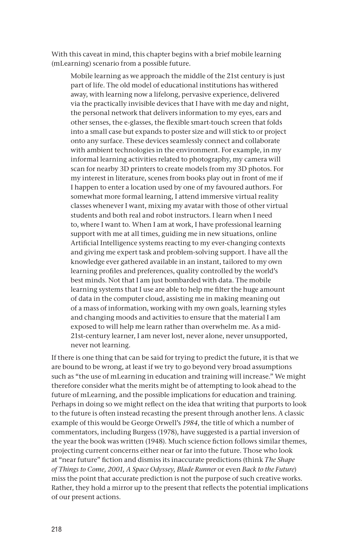With this caveat in mind, this chapter begins with a brief mobile learning (mLearning) scenario from a possible future.

Mobile learning as we approach the middle of the 21st century is just part of life. The old model of educational institutions has withered away, with learning now a lifelong, pervasive experience, delivered via the practically invisible devices that I have with me day and night, the personal network that delivers information to my eyes, ears and other senses, the e-glasses, the flexible smart-touch screen that folds into a small case but expands to poster size and will stick to or project onto any surface. These devices seamlessly connect and collaborate with ambient technologies in the environment. For example, in my informal learning activities related to photography, my camera will scan for nearby 3D printers to create models from my 3D photos. For my interest in literature, scenes from books play out in front of me if I happen to enter a location used by one of my favoured authors. For somewhat more formal learning, I attend immersive virtual reality classes whenever I want, mixing my avatar with those of other virtual students and both real and robot instructors. I learn when I need to, where I want to. When I am at work, I have professional learning support with me at all times, guiding me in new situations, online Artificial Intelligence systems reacting to my ever-changing contexts and giving me expert task and problem-solving support. I have all the knowledge ever gathered available in an instant, tailored to my own learning profiles and preferences, quality controlled by the world's best minds. Not that I am just bombarded with data. The mobile learning systems that I use are able to help me filter the huge amount of data in the computer cloud, assisting me in making meaning out of a mass of information, working with my own goals, learning styles and changing moods and activities to ensure that the material I am exposed to will help me learn rather than overwhelm me. As a mid-21st-century learner, I am never lost, never alone, never unsupported, never not learning.

If there is one thing that can be said for trying to predict the future, it is that we are bound to be wrong, at least if we try to go beyond very broad assumptions such as "the use of mLearning in education and training will increase." We might therefore consider what the merits might be of attempting to look ahead to the future of mLearning, and the possible implications for education and training. Perhaps in doing so we might reflect on the idea that writing that purports to look to the future is often instead recasting the present through another lens. A classic example of this would be George Orwell's *1984*, the title of which a number of commentators, including Burgess (1978), have suggested is a partial inversion of the year the book was written (1948). Much science fiction follows similar themes, projecting current concerns either near or far into the future. Those who look at "near future" fiction and dismiss its inaccurate predictions (think *The Shape of Things to Come, 2001, A Space Odyssey, Blade Runner* or even *Back to the Future*) miss the point that accurate prediction is not the purpose of such creative works. Rather, they hold a mirror up to the present that reflects the potential implications of our present actions.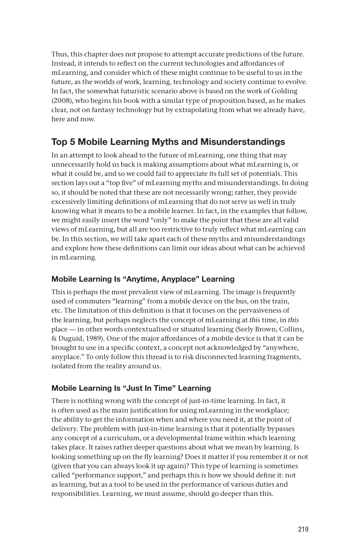Thus, this chapter does not propose to attempt accurate predictions of the future. Instead, it intends to reflect on the current technologies and affordances of mLearning, and consider which of these might continue to be useful to us in the future, as the worlds of work, learning, technology and society continue to evolve. In fact, the somewhat futuristic scenario above is based on the work of Golding (2008), who begins his book with a similar type of proposition based, as he makes clear, not on fantasy technology but by extrapolating from what we already have, here and now.

# Top 5 Mobile Learning Myths and Misunderstandings

In an attempt to look ahead to the future of mLearning, one thing that may unnecessarily hold us back is making assumptions about what mLearning is, or what it could be, and so we could fail to appreciate its full set of potentials. This section lays out a "top five" of mLearning myths and misunderstandings. In doing so, it should be noted that these are not necessarily wrong; rather, they provide excessively limiting definitions of mLearning that do not serve us well in truly knowing what it means to be a mobile learner. In fact, in the examples that follow, we might easily insert the word "only" to make the point that these are all valid views of mLearning, but all are too restrictive to truly reflect what mLearning can be. In this section, we will take apart each of these myths and misunderstandings and explore how these definitions can limit our ideas about what can be achieved in mLearning.

### Mobile Learning Is "Anytime, Anyplace" Learning

This is perhaps the most prevalent view of mLearning. The image is frequently used of commuters "learning" from a mobile device on the bus, on the train, etc. The limitation of this definition is that it focuses on the pervasiveness of the learning, but perhaps neglects the concept of mLearning at *this* time, in *this*  place — in other words contextualised or situated learning (Seely Brown, Collins, & Duguid, 1989). One of the major affordances of a mobile device is that it can be brought to use in a specific context, a concept not acknowledged by "anywhere, anyplace." To only follow this thread is to risk disconnected learning fragments, isolated from the reality around us.

# Mobile Learning Is "Just In Time" Learning

There is nothing wrong with the concept of just-in-time learning. In fact, it is often used as the main justification for using mLearning in the workplace; the ability to get the information when and where you need it, at the point of delivery. The problem with just-in-time learning is that it potentially bypasses any concept of a curriculum, or a developmental frame within which learning takes place. It raises rather deeper questions about what we mean by learning. Is looking something up on the fly learning? Does it matter if you remember it or not (given that you can always look it up again)? This type of learning is sometimes called "performance support," and perhaps this is how we should define it: not as learning, but as a tool to be used in the performance of various duties and responsibilities. Learning, we must assume, should go deeper than this.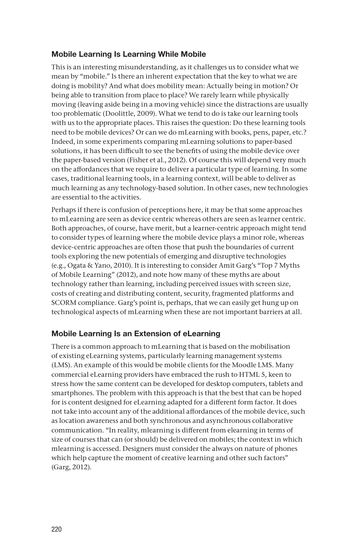#### Mobile Learning Is Learning While Mobile

This is an interesting misunderstanding, as it challenges us to consider what we mean by "mobile." Is there an inherent expectation that the key to what we are doing is mobility? And what does mobility mean: Actually being in motion? Or being able to transition from place to place? We rarely learn while physically moving (leaving aside being in a moving vehicle) since the distractions are usually too problematic (Doolittle, 2009). What we tend to do is take our learning tools with us to the appropriate places. This raises the question: Do these learning tools need to be mobile devices? Or can we do mLearning with books, pens, paper, etc.? Indeed, in some experiments comparing mLearning solutions to paper-based solutions, it has been difficult to see the benefits of using the mobile device over the paper-based version (Fisher et al., 2012). Of course this will depend very much on the affordances that we require to deliver a particular type of learning. In some cases, traditional learning tools, in a learning context, will be able to deliver as much learning as any technology-based solution. In other cases, new technologies are essential to the activities.

Perhaps if there is confusion of perceptions here, it may be that some approaches to mLearning are seen as device centric whereas others are seen as learner centric. Both approaches, of course, have merit, but a learner-centric approach might tend to consider types of learning where the mobile device plays a minor role, whereas device-centric approaches are often those that push the boundaries of current tools exploring the new potentials of emerging and disruptive technologies (e.g., Ogata & Yano, 2010). It is interesting to consider Amit Garg's "Top 7 Myths of Mobile Learning" (2012), and note how many of these myths are about technology rather than learning, including perceived issues with screen size, costs of creating and distributing content, security, fragmented platforms and SCORM compliance. Garg's point is, perhaps, that we can easily get hung up on technological aspects of mLearning when these are not important barriers at all.

#### Mobile Learning Is an Extension of eLearning

There is a common approach to mLearning that is based on the mobilisation of existing eLearning systems, particularly learning management systems (LMS). An example of this would be mobile clients for the Moodle LMS. Many commercial eLearning providers have embraced the rush to HTML 5, keen to stress how the same content can be developed for desktop computers, tablets and smartphones. The problem with this approach is that the best that can be hoped for is content designed for eLearning adapted for a different form factor. It does not take into account any of the additional affordances of the mobile device, such as location awareness and both synchronous and asynchronous collaborative communication. "In reality, mlearning is different from elearning in terms of size of courses that can (or should) be delivered on mobiles; the context in which mlearning is accessed. Designers must consider the always on nature of phones which help capture the moment of creative learning and other such factors" (Garg, 2012).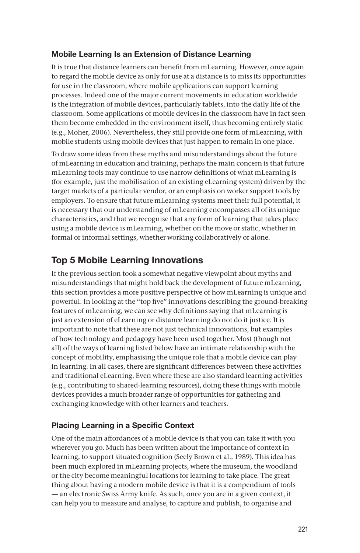### Mobile Learning Is an Extension of Distance Learning

It is true that distance learners can benefit from mLearning. However, once again to regard the mobile device as only for use at a distance is to miss its opportunities for use in the classroom, where mobile applications can support learning processes. Indeed one of the major current movements in education worldwide is the integration of mobile devices, particularly tablets, into the daily life of the classroom. Some applications of mobile devices in the classroom have in fact seen them become embedded in the environment itself, thus becoming entirely static (e.g., Moher, 2006). Nevertheless, they still provide one form of mLearning, with mobile students using mobile devices that just happen to remain in one place.

To draw some ideas from these myths and misunderstandings about the future of mLearning in education and training, perhaps the main concern is that future mLearning tools may continue to use narrow definitions of what mLearning is (for example, just the mobilisation of an existing eLearning system) driven by the target markets of a particular vendor, or an emphasis on worker support tools by employers. To ensure that future mLearning systems meet their full potential, it is necessary that our understanding of mLearning encompasses all of its unique characteristics, and that we recognise that any form of learning that takes place using a mobile device is mLearning, whether on the move or static, whether in formal or informal settings, whether working collaboratively or alone.

# Top 5 Mobile Learning Innovations

If the previous section took a somewhat negative viewpoint about myths and misunderstandings that might hold back the development of future mLearning, this section provides a more positive perspective of how mLearning is unique and powerful. In looking at the "top five" innovations describing the ground-breaking features of mLearning, we can see why definitions saying that mLearning is just an extension of eLearning or distance learning do not do it justice. It is important to note that these are not just technical innovations, but examples of how technology and pedagogy have been used together. Most (though not all) of the ways of learning listed below have an intimate relationship with the concept of mobility, emphasising the unique role that a mobile device can play in learning. In all cases, there are significant differences between these activities and traditional eLearning. Even where these are also standard learning activities (e.g., contributing to shared-learning resources), doing these things with mobile devices provides a much broader range of opportunities for gathering and exchanging knowledge with other learners and teachers.

# Placing Learning in a Specific Context

One of the main affordances of a mobile device is that you can take it with you wherever you go. Much has been written about the importance of context in learning, to support situated cognition (Seely Brown et al., 1989). This idea has been much explored in mLearning projects, where the museum, the woodland or the city become meaningful locations for learning to take place. The great thing about having a modern mobile device is that it is a compendium of tools — an electronic Swiss Army knife. As such, once you are in a given context, it can help you to measure and analyse, to capture and publish, to organise and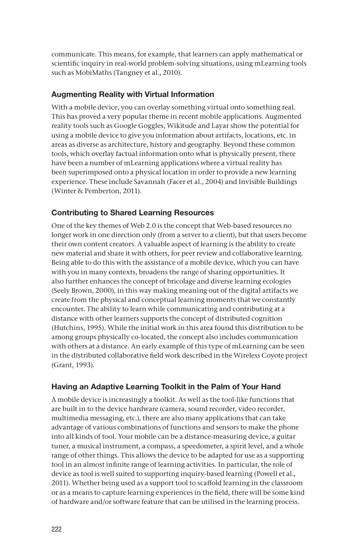communicate. This means, for example, that learners can apply mathematical or scientific inquiry in real-world problem-solving situations, using mLearning tools such as MobiMaths (Tangney et al., 2010).

### Augmenting Reality with Virtual Information

With a mobile device, you can overlay something virtual onto something real. This has proved a very popular theme in recent mobile applications. Augmented reality tools such as Google Goggles, Wikitude and Layar show the potential for using a mobile device to give you information about artifacts, locations, etc. in areas as diverse as architecture, history and geography. Beyond these common tools, which overlay factual information onto what is physically present, there have been a number of mLearning applications where a virtual reality has been superimposed onto a physical location in order to provide a new learning experience. These include Savannah (Facer et al., 2004) and Invisible Buildings (Winter & Pemberton, 2011).

### Contributing to Shared Learning Resources

One of the key themes of Web 2.0 is the concept that Web-based resources no longer work in one direction only (from a server to a client), but that users become their own content creators. A valuable aspect of learning is the ability to create new material and share it with others, for peer review and collaborative learning. Being able to do this with the assistance of a mobile device, which you can have with you in many contexts, broadens the range of sharing opportunities. It also further enhances the concept of bricolage and diverse learning ecologies (Seely Brown, 2000), in this way making meaning out of the digital artifacts we create from the physical and conceptual learning moments that we constantly encounter. The ability to learn while communicating and contributing at a distance with other learners supports the concept of distributed cognition (Hutchins, 1995). While the initial work in this area found this distribution to be among groups physically co-located, the concept also includes communication with others at a distance. An early example of this type of mLearning can be seen in the distributed collaborative field work described in the Wireless Coyote project (Grant, 1993).

#### Having an Adaptive Learning Toolkit in the Palm of Your Hand

A mobile device is increasingly a toolkit. As well as the tool-like functions that are built in to the device hardware (camera, sound recorder, video recorder, multimedia messaging, etc.), there are also many applications that can take advantage of various combinations of functions and sensors to make the phone into all kinds of tool. Your mobile can be a distance-measuring device, a guitar tuner, a musical instrument, a compass, a speedometer, a spirit level, and a whole range of other things. This allows the device to be adapted for use as a supporting tool in an almost infinite range of learning activities. In particular, the role of device as tool is well suited to supporting inquiry-based learning (Powell et al., 2011). Whether being used as a support tool to scaffold learning in the classroom or as a means to capture learning experiences in the field, there will be some kind of hardware and/or software feature that can be utilised in the learning process.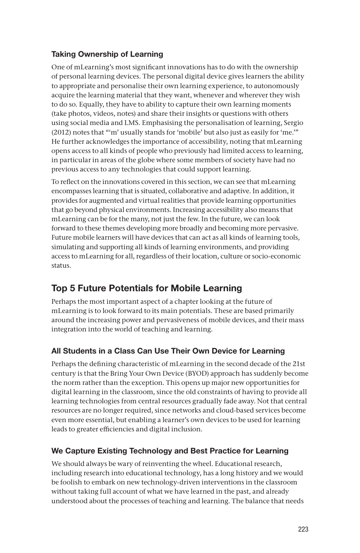### Taking Ownership of Learning

One of mLearning's most significant innovations has to do with the ownership of personal learning devices. The personal digital device gives learners the ability to appropriate and personalise their own learning experience, to autonomously acquire the learning material that they want, whenever and wherever they wish to do so. Equally, they have to ability to capture their own learning moments (take photos, videos, notes) and share their insights or questions with others using social media and LMS. Emphasising the personalisation of learning, Sergio (2012) notes that "'m' usually stands for 'mobile' but also just as easily for 'me.'" He further acknowledges the importance of accessibility, noting that mLearning opens access to all kinds of people who previously had limited access to learning, in particular in areas of the globe where some members of society have had no previous access to any technologies that could support learning.

To reflect on the innovations covered in this section, we can see that mLearning encompasses learning that is situated, collaborative and adaptive. In addition, it provides for augmented and virtual realities that provide learning opportunities that go beyond physical environments. Increasing accessibility also means that mLearning can be for the many, not just the few. In the future, we can look forward to these themes developing more broadly and becoming more pervasive. Future mobile learners will have devices that can act as all kinds of learning tools, simulating and supporting all kinds of learning environments, and providing access to mLearning for all, regardless of their location, culture or socio-economic status.

# Top 5 Future Potentials for Mobile Learning

Perhaps the most important aspect of a chapter looking at the future of mLearning is to look forward to its main potentials. These are based primarily around the increasing power and pervasiveness of mobile devices, and their mass integration into the world of teaching and learning.

# All Students in a Class Can Use Their Own Device for Learning

Perhaps the defining characteristic of mLearning in the second decade of the 21st century is that the Bring Your Own Device (BYOD) approach has suddenly become the norm rather than the exception. This opens up major new opportunities for digital learning in the classroom, since the old constraints of having to provide all learning technologies from central resources gradually fade away. Not that central resources are no longer required, since networks and cloud-based services become even more essential, but enabling a learner's own devices to be used for learning leads to greater efficiencies and digital inclusion.

# We Capture Existing Technology and Best Practice for Learning

We should always be wary of reinventing the wheel. Educational research, including research into educational technology, has a long history and we would be foolish to embark on new technology-driven interventions in the classroom without taking full account of what we have learned in the past, and already understood about the processes of teaching and learning. The balance that needs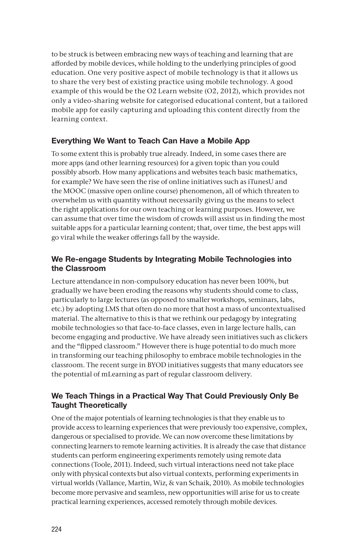to be struck is between embracing new ways of teaching and learning that are afforded by mobile devices, while holding to the underlying principles of good education. One very positive aspect of mobile technology is that it allows us to share the very best of existing practice using mobile technology. A good example of this would be the O2 Learn website (O2, 2012), which provides not only a video-sharing website for categorised educational content, but a tailored mobile app for easily capturing and uploading this content directly from the learning context.

### Everything We Want to Teach Can Have a Mobile App

To some extent this is probably true already. Indeed, in some cases there are more apps (and other learning resources) for a given topic than you could possibly absorb. How many applications and websites teach basic mathematics, for example? We have seen the rise of online initiatives such as iTunesU and the MOOC (massive open online course) phenomenon, all of which threaten to overwhelm us with quantity without necessarily giving us the means to select the right applications for our own teaching or learning purposes. However, we can assume that over time the wisdom of crowds will assist us in finding the most suitable apps for a particular learning content; that, over time, the best apps will go viral while the weaker offerings fall by the wayside.

#### We Re-engage Students by Integrating Mobile Technologies into the Classroom

Lecture attendance in non-compulsory education has never been 100%, but gradually we have been eroding the reasons why students should come to class, particularly to large lectures (as opposed to smaller workshops, seminars, labs, etc.) by adopting LMS that often do no more that host a mass of uncontextualised material. The alternative to this is that we rethink our pedagogy by integrating mobile technologies so that face-to-face classes, even in large lecture halls, can become engaging and productive. We have already seen initiatives such as clickers and the "flipped classroom." However there is huge potential to do much more in transforming our teaching philosophy to embrace mobile technologies in the classroom. The recent surge in BYOD initiatives suggests that many educators see the potential of mLearning as part of regular classroom delivery.

#### We Teach Things in a Practical Way That Could Previously Only Be Taught Theoretically

One of the major potentials of learning technologies is that they enable us to provide access to learning experiences that were previously too expensive, complex, dangerous or specialised to provide. We can now overcome these limitations by connecting learners to remote learning activities. It is already the case that distance students can perform engineering experiments remotely using remote data connections (Toole, 2011). Indeed, such virtual interactions need not take place only with physical contexts but also virtual contexts, performing experiments in virtual worlds (Vallance, Martin, Wiz, & van Schaik, 2010). As mobile technologies become more pervasive and seamless, new opportunities will arise for us to create practical learning experiences, accessed remotely through mobile devices.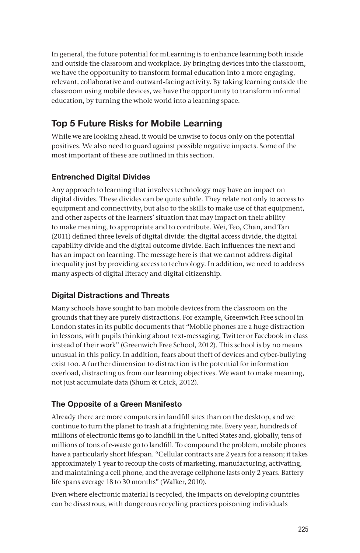In general, the future potential for mLearning is to enhance learning both inside and outside the classroom and workplace. By bringing devices into the classroom, we have the opportunity to transform formal education into a more engaging, relevant, collaborative and outward-facing activity. By taking learning outside the classroom using mobile devices, we have the opportunity to transform informal education, by turning the whole world into a learning space.

# Top 5 Future Risks for Mobile Learning

While we are looking ahead, it would be unwise to focus only on the potential positives. We also need to guard against possible negative impacts. Some of the most important of these are outlined in this section.

# Entrenched Digital Divides

Any approach to learning that involves technology may have an impact on digital divides. These divides can be quite subtle. They relate not only to access to equipment and connectivity, but also to the skills to make use of that equipment, and other aspects of the learners' situation that may impact on their ability to make meaning, to appropriate and to contribute. Wei, Teo, Chan, and Tan (2011) defined three levels of digital divide: the digital access divide, the digital capability divide and the digital outcome divide. Each influences the next and has an impact on learning. The message here is that we cannot address digital inequality just by providing access to technology. In addition, we need to address many aspects of digital literacy and digital citizenship.

# Digital Distractions and Threats

Many schools have sought to ban mobile devices from the classroom on the grounds that they are purely distractions. For example, Greenwich Free school in London states in its public documents that "Mobile phones are a huge distraction in lessons, with pupils thinking about text-messaging, Twitter or Facebook in class instead of their work" (Greenwich Free School, 2012). This school is by no means unusual in this policy. In addition, fears about theft of devices and cyber-bullying exist too. A further dimension to distraction is the potential for information overload, distracting us from our learning objectives. We want to make meaning, not just accumulate data (Shum & Crick, 2012).

# The Opposite of a Green Manifesto

Already there are more computers in landfill sites than on the desktop, and we continue to turn the planet to trash at a frightening rate. Every year, hundreds of millions of electronic items go to landfill in the United States and, globally, tens of millions of tons of e-waste go to landfill. To compound the problem, mobile phones have a particularly short lifespan. "Cellular contracts are 2 years for a reason; it takes approximately 1 year to recoup the costs of marketing, manufacturing, activating, and maintaining a cell phone, and the average cellphone lasts only 2 years. Battery life spans average 18 to 30 months" (Walker, 2010).

Even where electronic material is recycled, the impacts on developing countries can be disastrous, with dangerous recycling practices poisoning individuals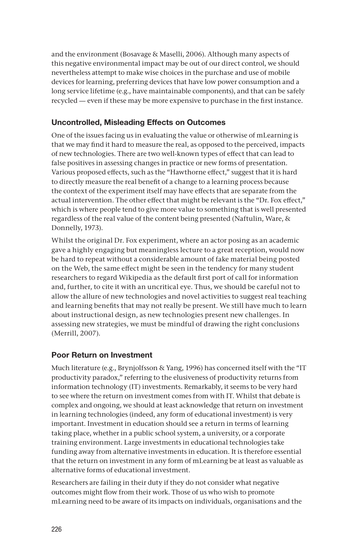and the environment (Bosavage & Maselli, 2006). Although many aspects of this negative environmental impact may be out of our direct control, we should nevertheless attempt to make wise choices in the purchase and use of mobile devices for learning, preferring devices that have low power consumption and a long service lifetime (e.g., have maintainable components), and that can be safely recycled — even if these may be more expensive to purchase in the first instance.

#### Uncontrolled, Misleading Effects on Outcomes

One of the issues facing us in evaluating the value or otherwise of mLearning is that we may find it hard to measure the real, as opposed to the perceived, impacts of new technologies. There are two well-known types of effect that can lead to false positives in assessing changes in practice or new forms of presentation. Various proposed effects, such as the "Hawthorne effect," suggest that it is hard to directly measure the real benefit of a change to a learning process because the context of the experiment itself may have effects that are separate from the actual intervention. The other effect that might be relevant is the "Dr. Fox effect," which is where people tend to give more value to something that is well presented regardless of the real value of the content being presented (Naftulin, Ware, & Donnelly, 1973).

Whilst the original Dr. Fox experiment, where an actor posing as an academic gave a highly engaging but meaningless lecture to a great reception, would now be hard to repeat without a considerable amount of fake material being posted on the Web, the same effect might be seen in the tendency for many student researchers to regard Wikipedia as the default first port of call for information and, further, to cite it with an uncritical eye. Thus, we should be careful not to allow the allure of new technologies and novel activities to suggest real teaching and learning benefits that may not really be present. We still have much to learn about instructional design, as new technologies present new challenges. In assessing new strategies, we must be mindful of drawing the right conclusions (Merrill, 2007).

#### Poor Return on Investment

Much literature (e.g., Brynjolfsson & Yang, 1996) has concerned itself with the "IT productivity paradox," referring to the elusiveness of productivity returns from information technology (IT) investments. Remarkably, it seems to be very hard to see where the return on investment comes from with IT. Whilst that debate is complex and ongoing, we should at least acknowledge that return on investment in learning technologies (indeed, any form of educational investment) is very important. Investment in education should see a return in terms of learning taking place, whether in a public school system, a university, or a corporate training environment. Large investments in educational technologies take funding away from alternative investments in education. It is therefore essential that the return on investment in any form of mLearning be at least as valuable as alternative forms of educational investment.

Researchers are failing in their duty if they do not consider what negative outcomes might flow from their work. Those of us who wish to promote mLearning need to be aware of its impacts on individuals, organisations and the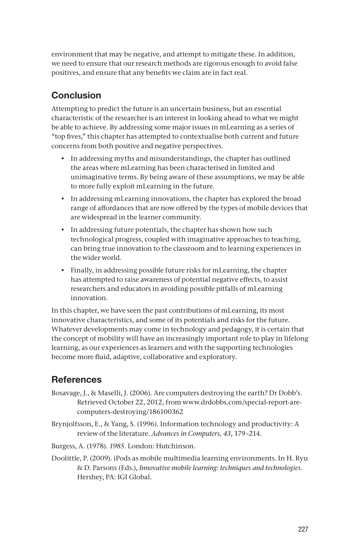environment that may be negative, and attempt to mitigate these. In addition, we need to ensure that our research methods are rigorous enough to avoid false positives, and ensure that any benefits we claim are in fact real.

# **Conclusion**

Attempting to predict the future is an uncertain business, but an essential characteristic of the researcher is an interest in looking ahead to what we might be able to achieve. By addressing some major issues in mLearning as a series of "top fives," this chapter has attempted to contextualise both current and future concerns from both positive and negative perspectives.

- In addressing myths and misunderstandings, the chapter has outlined the areas where mLearning has been characterised in limited and unimaginative terms. By being aware of these assumptions, we may be able to more fully exploit mLearning in the future.
- In addressing mLearning innovations, the chapter has explored the broad range of affordances that are now offered by the types of mobile devices that are widespread in the learner community.
- In addressing future potentials, the chapter has shown how such technological progress, coupled with imaginative approaches to teaching, can bring true innovation to the classroom and to learning experiences in the wider world.
- Finally, in addressing possible future risks for mLearning, the chapter has attempted to raise awareness of potential negative effects, to assist researchers and educators in avoiding possible pitfalls of mLearning innovation.

In this chapter, we have seen the past contributions of mLearning, its most innovative characteristics, and some of its potentials and risks for the future. Whatever developments may come in technology and pedagogy, it is certain that the concept of mobility will have an increasingly important role to play in lifelong learning, as our experiences as learners and with the supporting technologies become more fluid, adaptive, collaborative and exploratory.

# **References**

- Bosavage, J., & Maselli, J. (2006). Are computers destroying the earth? Dr Dobb's. Retrieved October 22, 2012, from www.drdobbs.com/special-report-arecomputers-destroying/186100362
- Brynjolfsson, E., & Yang, S. (1996). Information technology and productivity: A review of the literature. *Advances in Computers, 43*, 179–214.
- Burgess, A. (1978). *1985*. London: Hutchinson.
- Doolittle, P. (2009). iPods as mobile multimedia learning environments. In H. Ryu & D. Parsons (Eds.), *Innovative mobile learning: techniques and technologies*. Hershey, PA: IGI Global.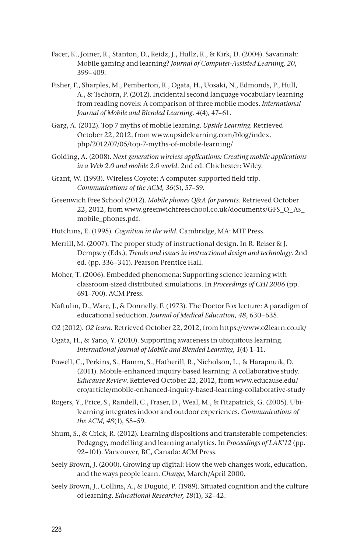- Facer, K., Joiner, R., Stanton, D., Reidz, J., Hullz, R., & Kirk, D. (2004). Savannah: Mobile gaming and learning? *Journal of Computer-Assisted Learning, 20*, 399–409.
- Fisher, F., Sharples, M., Pemberton, R., Ogata, H., Uosaki, N., Edmonds, P., Hull, A., & Tschorn, P. (2012). Incidental second language vocabulary learning from reading novels: A comparison of three mobile modes. *International Journal of Mobile and Blended Learning, 4*(4), 47–61.
- Garg, A. (2012). Top 7 myths of mobile learning. *Upside Learning*. Retrieved October 22, 2012, from www.upsidelearning.com/blog/index. php/2012/07/05/top-7-myths-of-mobile-learning/
- Golding, A. (2008). *Next generation wireless applications: Creating mobile applications in a Web 2.0 and mobile 2.0 world*. 2nd ed. Chichester: Wiley.
- Grant, W. (1993). Wireless Coyote: A computer-supported field trip. *Communications of the ACM, 36*(5), 57–59.
- Greenwich Free School (2012). *Mobile phones Q&A for parents*. Retrieved October 22, 2012, from www.greenwichfreeschool.co.uk/documents/GFS\_Q\_As\_ mobile\_phones.pdf.
- Hutchins, E. (1995)*. Cognition in the wild*. Cambridge, MA: MIT Press.
- Merrill, M. (2007). The proper study of instructional design. In R. Reiser & J. Dempsey (Eds.), *Trends and issues in instructional design and technology*. 2nd ed. (pp. 336–341). Pearson Prentice Hall.
- Moher, T. (2006). Embedded phenomena: Supporting science learning with classroom-sized distributed simulations. In *Proceedings of CHI 2006* (pp. 691–700). ACM Press.
- Naftulin, D., Ware, J., & Donnelly, F. (1973). The Doctor Fox lecture: A paradigm of educational seduction. *Journal of Medical Education, 48*, 630–635.
- O2 (2012). *O2 learn*. Retrieved October 22, 2012, from https://www.o2learn.co.uk/
- Ogata, H., & Yano, Y. (2010). Supporting awareness in ubiquitous learning. *International Journal of Mobile and Blended Learning, 1*(4) 1–11.
- Powell, C., Perkins, S., Hamm, S., Hatherill, R., Nicholson, L., & Harapnuik, D. (2011). Mobile-enhanced inquiry-based learning: A collaborative study. *Educause Review*. Retrieved October 22, 2012, from www.educause.edu/ ero/article/mobile-enhanced-inquiry-based-learning-collaborative-study
- Rogers, Y., Price, S., Randell, C., Fraser, D., Weal, M., & Fitzpatrick, G. (2005). Ubilearning integrates indoor and outdoor experiences. *Communications of the ACM, 48*(1), 55–59.
- Shum, S., & Crick, R. (2012). Learning dispositions and transferable competencies: Pedagogy, modelling and learning analytics. In *Proceedings of LAK'12* (pp. 92–101). Vancouver, BC, Canada: ACM Press.
- Seely Brown, J. (2000). Growing up digital: How the web changes work, education, and the ways people learn. *Change*, March/April 2000.
- Seely Brown, J., Collins, A., & Duguid, P. (1989). Situated cognition and the culture of learning. *Educational Researcher, 18*(1), 32–42.